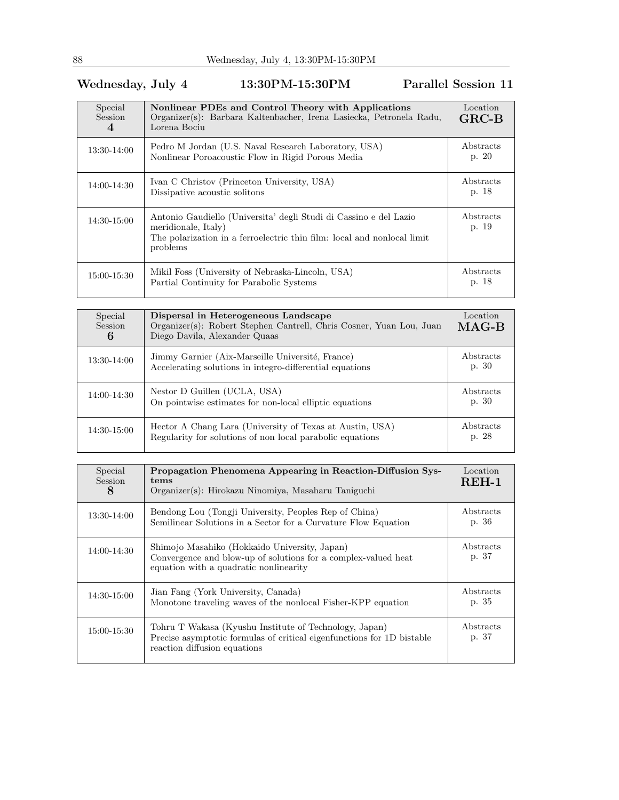## Wednesday, July 4 13:30PM-15:30PM Parallel Session 11

| Special<br>Session<br>$\overline{4}$ | Nonlinear PDEs and Control Theory with Applications<br>Organizer(s): Barbara Kaltenbacher, Irena Lasiecka, Petronela Radu,<br>Lorena Bociu                                      | Location<br>$GRC-B$ |
|--------------------------------------|---------------------------------------------------------------------------------------------------------------------------------------------------------------------------------|---------------------|
| 13:30-14:00                          | Pedro M Jordan (U.S. Naval Research Laboratory, USA)<br>Nonlinear Poroacoustic Flow in Rigid Porous Media                                                                       | Abstracts<br>p. 20  |
| 14:00-14:30                          | Ivan C Christov (Princeton University, USA)<br>Dissipative acoustic solitons                                                                                                    | Abstracts<br>p. 18  |
| 14:30-15:00                          | Antonio Gaudiello (Universita' degli Studi di Cassino e del Lazio<br>meridionale, Italy)<br>The polarization in a ferroelectric thin film: local and nonlocal limit<br>problems | Abstracts<br>p. 19  |
| 15:00-15:30                          | Mikil Foss (University of Nebraska-Lincoln, USA)<br>Partial Continuity for Parabolic Systems                                                                                    | Abstracts<br>p. 18  |

| Special<br><b>Session</b><br>6 | Dispersal in Heterogeneous Landscape<br>Organizer(s): Robert Stephen Cantrell, Chris Cosner, Yuan Lou, Juan<br>Diego Davila, Alexander Quaas | Location<br>$\rm MAG\text{-}B$ |
|--------------------------------|----------------------------------------------------------------------------------------------------------------------------------------------|--------------------------------|
| 13:30-14:00                    | Jimmy Garnier (Aix-Marseille Université, France)<br>Accelerating solutions in integro-differential equations                                 | Abstracts<br>p. 30             |
| 14:00-14:30                    | Nestor D Guillen (UCLA, USA)<br>On pointwise estimates for non-local elliptic equations                                                      | Abstracts<br>p. 30             |
| 14:30-15:00                    | Hector A Chang Lara (University of Texas at Austin, USA)<br>Regularity for solutions of non local parabolic equations                        | Abstracts<br>p. 28             |

| Special<br>Session<br>8 | Propagation Phenomena Appearing in Reaction-Diffusion Sys-<br>tems<br>Organizer(s): Hirokazu Ninomiya, Masaharu Taniguchi                                        | Location<br>$REH-1$ |
|-------------------------|------------------------------------------------------------------------------------------------------------------------------------------------------------------|---------------------|
| 13:30-14:00             | Bendong Lou (Tongji University, Peoples Rep of China)<br>Semilinear Solutions in a Sector for a Curvature Flow Equation                                          | Abstracts<br>p. 36  |
| 14:00-14:30             | Shimojo Masahiko (Hokkaido University, Japan)<br>Convergence and blow-up of solutions for a complex-valued heat<br>equation with a quadratic nonlinearity        | Abstracts<br>p. 37  |
| 14:30-15:00             | Jian Fang (York University, Canada)<br>Monotone traveling waves of the nonlocal Fisher-KPP equation                                                              | Abstracts<br>p. 35  |
| 15:00-15:30             | Tohru T Wakasa (Kyushu Institute of Technology, Japan)<br>Precise asymptotic formulas of critical eigenfunctions for 1D bistable<br>reaction diffusion equations | Abstracts<br>p. 37  |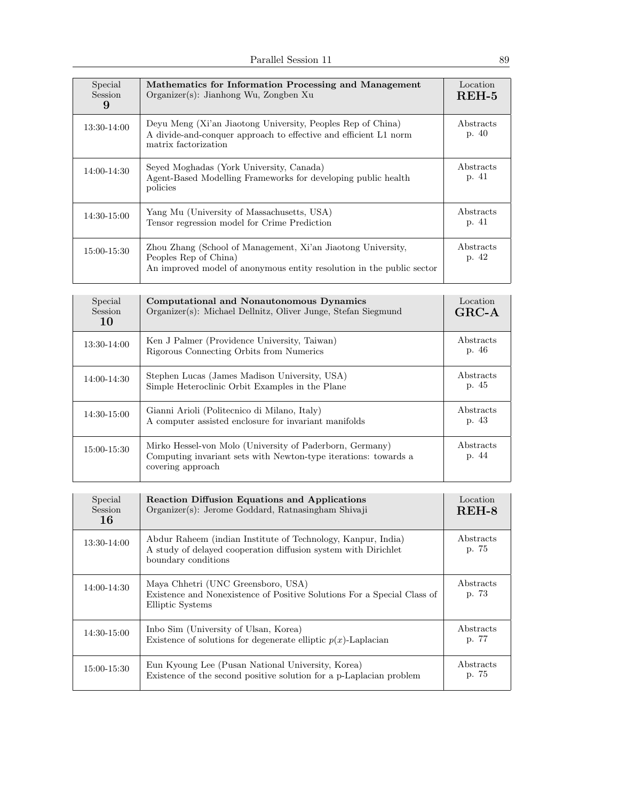| Special<br>Session<br>9 | Mathematics for Information Processing and Management<br>Organizer(s): Jianhong Wu, Zongben Xu                                                                 | Location<br>REH-5  |
|-------------------------|----------------------------------------------------------------------------------------------------------------------------------------------------------------|--------------------|
| 13:30-14:00             | Deyu Meng (Xi'an Jiaotong University, Peoples Rep of China)<br>A divide-and-conquer approach to effective and efficient L1 norm<br>matrix factorization        | Abstracts<br>p. 40 |
| 14:00-14:30             | Seyed Moghadas (York University, Canada)<br>Agent-Based Modelling Frameworks for developing public health<br>policies                                          | Abstracts<br>p. 41 |
| 14:30-15:00             | Yang Mu (University of Massachusetts, USA)<br>Tensor regression model for Crime Prediction                                                                     | Abstracts<br>p. 41 |
| $15:00 - 15:30$         | Zhou Zhang (School of Management, Xi'an Jiaotong University,<br>Peoples Rep of China)<br>An improved model of anonymous entity resolution in the public sector | Abstracts<br>p. 42 |

| Special<br>Session<br>10 | Computational and Nonautonomous Dynamics<br>Organizer(s): Michael Dellnitz, Oliver Junge, Stefan Siegmund                                        | Location<br>$GRC-A$ |
|--------------------------|--------------------------------------------------------------------------------------------------------------------------------------------------|---------------------|
| 13:30-14:00              | Ken J Palmer (Providence University, Taiwan)<br>Rigorous Connecting Orbits from Numerics                                                         | Abstracts<br>p. 46  |
| 14:00-14:30              | Stephen Lucas (James Madison University, USA)<br>Simple Heteroclinic Orbit Examples in the Plane                                                 | Abstracts<br>p. 45  |
| 14:30-15:00              | Gianni Arioli (Politecnico di Milano, Italy)<br>A computer assisted enclosure for invariant manifolds                                            | Abstracts<br>p. 43  |
| 15:00-15:30              | Mirko Hessel-von Molo (University of Paderborn, Germany)<br>Computing invariant sets with Newton-type iterations: towards a<br>covering approach | Abstracts<br>p. 44  |

| Special<br>Session<br>16 | <b>Reaction Diffusion Equations and Applications</b><br>Organizer(s): Jerome Goddard, Ratnasingham Shivaji                                            | Location<br>$REH-8$ |
|--------------------------|-------------------------------------------------------------------------------------------------------------------------------------------------------|---------------------|
| 13:30-14:00              | Abdur Raheem (indian Institute of Technology, Kanpur, India)<br>A study of delayed cooperation diffusion system with Dirichlet<br>boundary conditions | Abstracts<br>p. 75  |
| 14:00-14:30              | Maya Chhetri (UNC Greensboro, USA)<br>Existence and Nonexistence of Positive Solutions For a Special Class of<br>Elliptic Systems                     | Abstracts<br>p. 73  |
| 14:30-15:00              | Inbo Sim (University of Ulsan, Korea)<br>Existence of solutions for degenerate elliptic $p(x)$ -Laplacian                                             | Abstracts<br>p. 77  |
| 15:00-15:30              | Eun Kyoung Lee (Pusan National University, Korea)<br>Existence of the second positive solution for a p-Laplacian problem                              | Abstracts<br>p. 75  |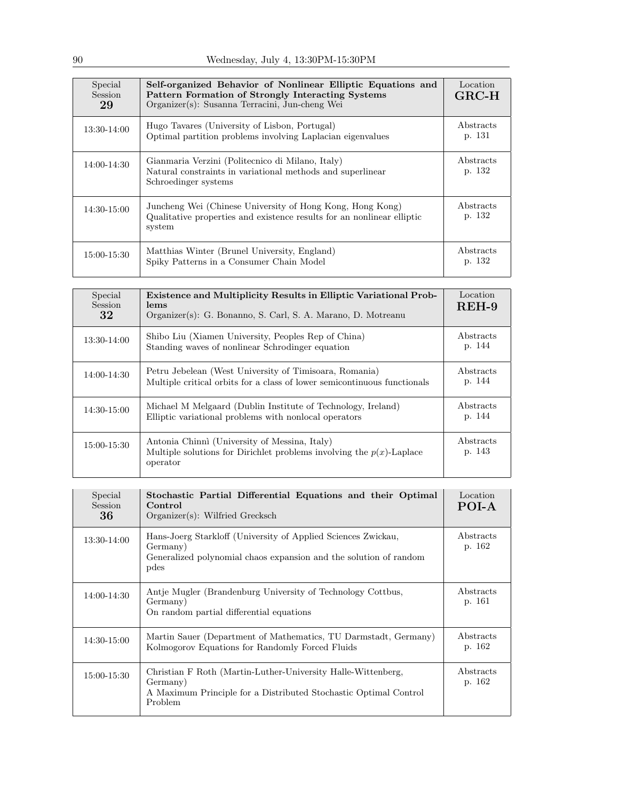| Special<br>Session<br>29 | Self-organized Behavior of Nonlinear Elliptic Equations and<br>Pattern Formation of Strongly Interacting Systems<br>Organizer(s): Susanna Terracini, Jun-cheng Wei | Location<br>$GRC-H$ |
|--------------------------|--------------------------------------------------------------------------------------------------------------------------------------------------------------------|---------------------|
| 13:30-14:00              | Hugo Tavares (University of Lisbon, Portugal)<br>Optimal partition problems involving Laplacian eigenvalues                                                        | Abstracts<br>p. 131 |
| 14:00-14:30              | Gianmaria Verzini (Politecnico di Milano, Italy)<br>Natural constraints in variational methods and superlinear<br>Schroedinger systems                             | Abstracts<br>p. 132 |
| 14:30-15:00              | Juncheng Wei (Chinese University of Hong Kong, Hong Kong)<br>Qualitative properties and existence results for an nonlinear elliptic<br>system                      | Abstracts<br>p. 132 |
| 15:00-15:30              | Matthias Winter (Brunel University, England)<br>Spiky Patterns in a Consumer Chain Model                                                                           | Abstracts<br>p. 132 |

| Special<br>Session<br>32 | <b>Existence and Multiplicity Results in Elliptic Variational Prob-</b><br>lems<br>Organizer(s): G. Bonanno, S. Carl, S. A. Marano, D. Motreanu | Location<br>$REH-9$ |
|--------------------------|-------------------------------------------------------------------------------------------------------------------------------------------------|---------------------|
| 13:30-14:00              | Shibo Liu (Xiamen University, Peoples Rep of China)<br>Standing waves of nonlinear Schrodinger equation                                         | Abstracts<br>p. 144 |
| 14:00-14:30              | Petru Jebelean (West University of Timisoara, Romania)<br>Multiple critical orbits for a class of lower semicontinuous functionals              | Abstracts<br>p. 144 |
| 14:30-15:00              | Michael M Melgaard (Dublin Institute of Technology, Ireland)<br>Elliptic variational problems with nonlocal operators                           | Abstracts<br>p. 144 |
| $15:00 - 15:30$          | Antonia Chinni (University of Messina, Italy)<br>Multiple solutions for Dirichlet problems involving the $p(x)$ -Laplace<br>operator            | Abstracts<br>p. 143 |

| Special<br>Session<br>36 | Stochastic Partial Differential Equations and their Optimal<br>Control<br>Organizer(s): Wilfried Grecksch                                               | Location<br>POI-A   |
|--------------------------|---------------------------------------------------------------------------------------------------------------------------------------------------------|---------------------|
| 13:30-14:00              | Hans-Joerg Starkloff (University of Applied Sciences Zwickau,<br>Germany)<br>Generalized polynomial chaos expansion and the solution of random<br>pdes  | Abstracts<br>p. 162 |
| 14:00-14:30              | Antie Mugler (Brandenburg University of Technology Cottbus,<br>Germany)<br>On random partial differential equations                                     | Abstracts<br>p. 161 |
| 14:30-15:00              | Martin Sauer (Department of Mathematics, TU Darmstadt, Germany)<br>Kolmogorov Equations for Randomly Forced Fluids                                      | Abstracts<br>p. 162 |
| 15:00-15:30              | Christian F Roth (Martin-Luther-University Halle-Wittenberg,<br>Germany)<br>A Maximum Principle for a Distributed Stochastic Optimal Control<br>Problem | Abstracts<br>p. 162 |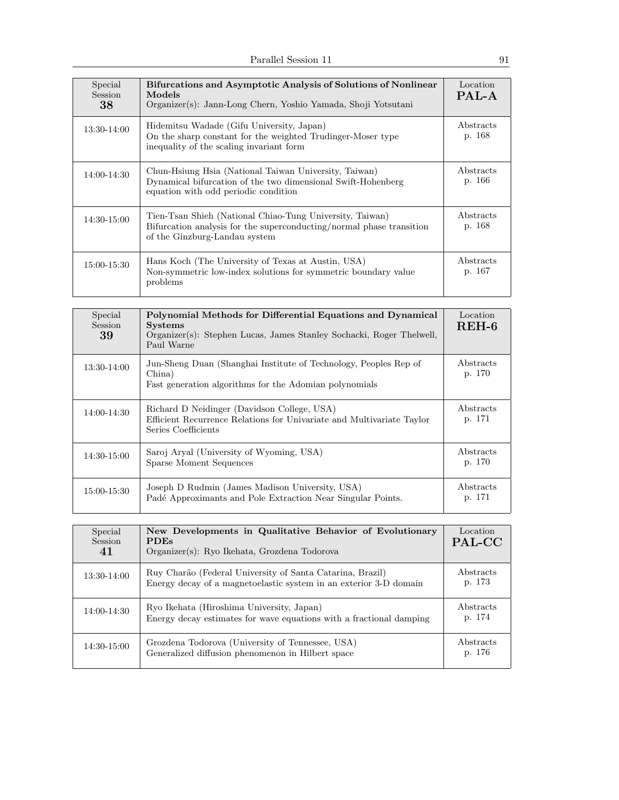| Special<br>Session<br>38 | Bifurcations and Asymptotic Analysis of Solutions of Nonlinear<br>Models<br>Organizer(s): Jann-Long Chern, Yoshio Yamada, Shoji Yotsutani                         | Location<br>PAL-A   |
|--------------------------|-------------------------------------------------------------------------------------------------------------------------------------------------------------------|---------------------|
| 13:30-14:00              | Hidemitsu Wadade (Gifu University, Japan)<br>On the sharp constant for the weighted Trudinger-Moser type<br>inequality of the scaling invariant form              | Abstracts<br>p. 168 |
| 14:00-14:30              | Chun-Hsiung Hsia (National Taiwan University, Taiwan)<br>Dynamical bifurcation of the two dimensional Swift-Hohenberg<br>equation with odd periodic condition     | Abstracts<br>p. 166 |
| 14:30-15:00              | Tien-Tsan Shieh (National Chiao-Tung University, Taiwan)<br>Bifurcation analysis for the superconducting/normal phase transition<br>of the Ginzburg-Landau system | Abstracts<br>p. 168 |
| 15:00-15:30              | Hans Koch (The University of Texas at Austin, USA)<br>Non-symmetric low-index solutions for symmetric boundary value<br>problems                                  | Abstracts<br>p. 167 |

| Special<br>Session<br>39 | Polynomial Methods for Differential Equations and Dynamical<br><b>Systems</b><br>Organizer(s): Stephen Lucas, James Stanley Sochacki, Roger Thelwell,<br>Paul Warne | Location<br>$REH-6$ |
|--------------------------|---------------------------------------------------------------------------------------------------------------------------------------------------------------------|---------------------|
| $13:30-14:00$            | Jun-Sheng Duan (Shanghai Institute of Technology, Peoples Rep of<br>China)<br>Fast generation algorithms for the Adomian polynomials                                | Abstracts<br>p. 170 |
| 14:00-14:30              | Richard D Neidinger (Davidson College, USA)<br>Efficient Recurrence Relations for Univariate and Multivariate Taylor<br>Series Coefficients                         | Abstracts<br>p. 171 |
| 14:30-15:00              | Saroj Aryal (University of Wyoming, USA)<br>Sparse Moment Sequences                                                                                                 | Abstracts<br>p. 170 |
| 15:00-15:30              | Joseph D Rudmin (James Madison University, USA)<br>Padé Approximants and Pole Extraction Near Singular Points.                                                      | Abstracts<br>p. 171 |

| Special<br>Session<br>41 | New Developments in Qualitative Behavior of Evolutionary<br><b>PDEs</b><br>Organizer(s): Ryo Ikehata, Grozdena Todorova        | Location<br>$\rm{PAL-CC}$  |
|--------------------------|--------------------------------------------------------------------------------------------------------------------------------|----------------------------|
| 13:30-14:00              | Ruy Charão (Federal University of Santa Catarina, Brazil)<br>Energy decay of a magnetoelastic system in an exterior 3-D domain | <b>Abstracts</b><br>p. 173 |
| 14:00-14:30              | Ryo Ikehata (Hiroshima University, Japan)<br>Energy decay estimates for wave equations with a fractional damping               | Abstracts<br>p. 174        |
| 14:30-15:00              | Grozdena Todorova (University of Tennessee, USA)<br>Generalized diffusion phenomenon in Hilbert space                          | Abstracts<br>p. 176        |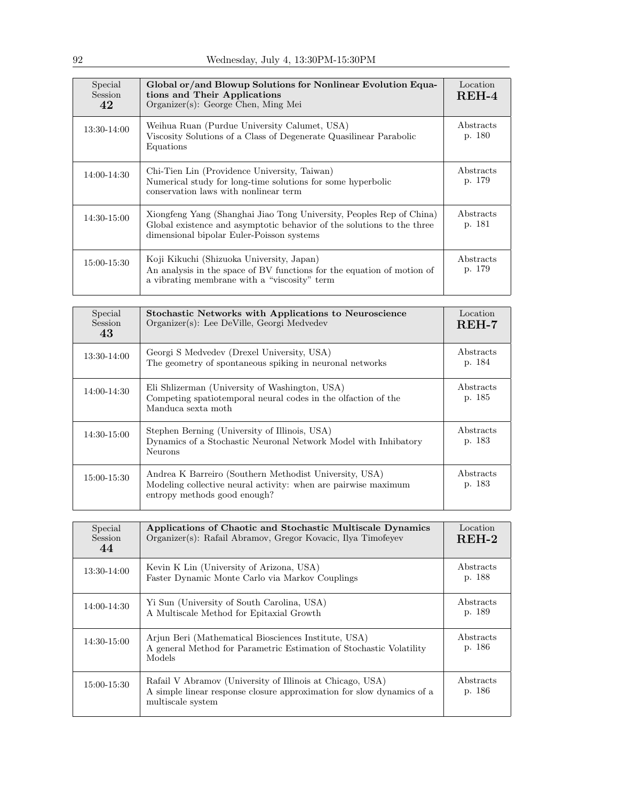| Special<br><b>Session</b><br>42 | Global or/and Blowup Solutions for Nonlinear Evolution Equa-<br>tions and Their Applications<br>Organizer(s): George Chen, Ming Mei                                                         | Location<br>$REH-4$ |
|---------------------------------|---------------------------------------------------------------------------------------------------------------------------------------------------------------------------------------------|---------------------|
| 13:30-14:00                     | Weihua Ruan (Purdue University Calumet, USA)<br>Viscosity Solutions of a Class of Degenerate Quasilinear Parabolic<br>Equations                                                             | Abstracts<br>p. 180 |
| 14:00-14:30                     | Chi-Tien Lin (Providence University, Taiwan)<br>Numerical study for long-time solutions for some hyperbolic<br>conservation laws with nonlinear term                                        | Abstracts<br>p. 179 |
| 14:30-15:00                     | Xiongfeng Yang (Shanghai Jiao Tong University, Peoples Rep of China)<br>Global existence and asymptotic behavior of the solutions to the three<br>dimensional bipolar Euler-Poisson systems | Abstracts<br>p. 181 |
| 15:00-15:30                     | Koji Kikuchi (Shizuoka University, Japan)<br>An analysis in the space of BV functions for the equation of motion of<br>a vibrating membrane with a "viscosity" term                         | Abstracts<br>p. 179 |

| Special<br>Session<br>43 | <b>Stochastic Networks with Applications to Neuroscience</b><br>Organizer(s): Lee DeVille, Georgi Medvedev                                               | Location<br>$REH-7$ |
|--------------------------|----------------------------------------------------------------------------------------------------------------------------------------------------------|---------------------|
| 13:30-14:00              | Georgi S Medvedev (Drexel University, USA)<br>The geometry of spontaneous spiking in neuronal networks                                                   | Abstracts<br>p. 184 |
| 14:00-14:30              | Eli Shlizerman (University of Washington, USA)<br>Competing spatiotemporal neural codes in the olfaction of the<br>Manduca sexta moth                    | Abstracts<br>p. 185 |
| 14:30-15:00              | Stephen Berning (University of Illinois, USA)<br>Dynamics of a Stochastic Neuronal Network Model with Inhibatory<br>Neurons                              | Abstracts<br>p. 183 |
| 15:00-15:30              | Andrea K Barreiro (Southern Methodist University, USA)<br>Modeling collective neural activity: when are pairwise maximum<br>entropy methods good enough? | Abstracts<br>p. 183 |

| Special<br>Session<br>44 | Applications of Chaotic and Stochastic Multiscale Dynamics<br>Organizer(s): Rafail Abramov, Gregor Kovacic, Ilya Timofeyev                              | Location<br>$REH-2$ |
|--------------------------|---------------------------------------------------------------------------------------------------------------------------------------------------------|---------------------|
| 13:30-14:00              | Kevin K Lin (University of Arizona, USA)<br>Faster Dynamic Monte Carlo via Markov Couplings                                                             | Abstracts<br>p. 188 |
| 14:00-14:30              | Yi Sun (University of South Carolina, USA)<br>A Multiscale Method for Epitaxial Growth                                                                  | Abstracts<br>p. 189 |
| 14:30-15:00              | Arjun Beri (Mathematical Biosciences Institute, USA)<br>A general Method for Parametric Estimation of Stochastic Volatility<br>Models                   | Abstracts<br>p. 186 |
| 15:00-15:30              | Rafail V Abramov (University of Illinois at Chicago, USA)<br>A simple linear response closure approximation for slow dynamics of a<br>multiscale system | Abstracts<br>p. 186 |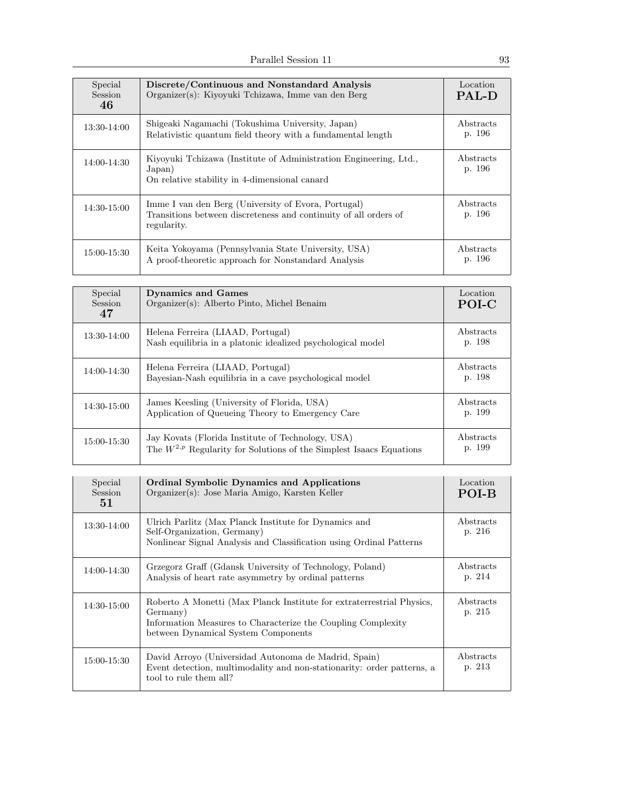| Special<br><b>Session</b><br>46 | Discrete/Continuous and Nonstandard Analysis<br>Organizer(s): Kiyoyuki Tchizawa, Imme van den Berg                                     | Location<br><b>PAL-D</b> |
|---------------------------------|----------------------------------------------------------------------------------------------------------------------------------------|--------------------------|
| 13:30-14:00                     | Shigeaki Nagamachi (Tokushima University, Japan)<br>Relativistic quantum field theory with a fundamental length                        | Abstracts<br>p. 196      |
| 14:00-14:30                     | Kiyoyuki Tchizawa (Institute of Administration Engineering, Ltd.,<br>Japan)<br>On relative stability in 4-dimensional canard           | Abstracts<br>p. 196      |
| 14:30-15:00                     | Imme I van den Berg (University of Evora, Portugal)<br>Transitions between discreteness and continuity of all orders of<br>regularity. | Abstracts<br>p. 196      |
| 15:00-15:30                     | Keita Yokoyama (Pennsylvania State University, USA)<br>A proof-theoretic approach for Nonstandard Analysis                             | Abstracts<br>p. 196      |

| Special<br><b>Session</b><br>47 | <b>Dynamics and Games</b><br>Organizer(s): Alberto Pinto, Michel Benaim                                                      | Location<br>POI-C   |
|---------------------------------|------------------------------------------------------------------------------------------------------------------------------|---------------------|
| $13:30-14:00$                   | Helena Ferreira (LIAAD, Portugal)<br>Nash equilibria in a platonic idealized psychological model                             | Abstracts<br>p. 198 |
| 14:00-14:30                     | Helena Ferreira (LIAAD, Portugal)<br>Bayesian-Nash equilibria in a cave psychological model                                  | Abstracts<br>p. 198 |
| $14:30-15:00$                   | James Keesling (University of Florida, USA)<br>Application of Queueing Theory to Emergency Care                              | Abstracts<br>p. 199 |
| 15:00-15:30                     | Jay Kovats (Florida Institute of Technology, USA)<br>The $W^{2,p}$ Regularity for Solutions of the Simplest Isaacs Equations | Abstracts<br>p. 199 |

| Special<br>Session<br>51 | <b>Ordinal Symbolic Dynamics and Applications</b><br>Organizer(s): Jose Maria Amigo, Karsten Keller                                                                                      | Location<br>POI-B   |
|--------------------------|------------------------------------------------------------------------------------------------------------------------------------------------------------------------------------------|---------------------|
| 13:30-14:00              | Ulrich Parlitz (Max Planck Institute for Dynamics and<br>Self-Organization, Germany)<br>Nonlinear Signal Analysis and Classification using Ordinal Patterns                              | Abstracts<br>p. 216 |
| 14:00-14:30              | Grzegorz Graff (Gdansk University of Technology, Poland)<br>Analysis of heart rate asymmetry by ordinal patterns                                                                         | Abstracts<br>p. 214 |
| 14:30-15:00              | Roberto A Monetti (Max Planck Institute for extraterrestrial Physics,<br>Germany)<br>Information Measures to Characterize the Coupling Complexity<br>between Dynamical System Components | Abstracts<br>p. 215 |
| 15:00-15:30              | David Arroyo (Universidad Autonoma de Madrid, Spain)<br>Event detection, multimodality and non-stationarity: order patterns, a<br>tool to rule them all?                                 | Abstracts<br>p. 213 |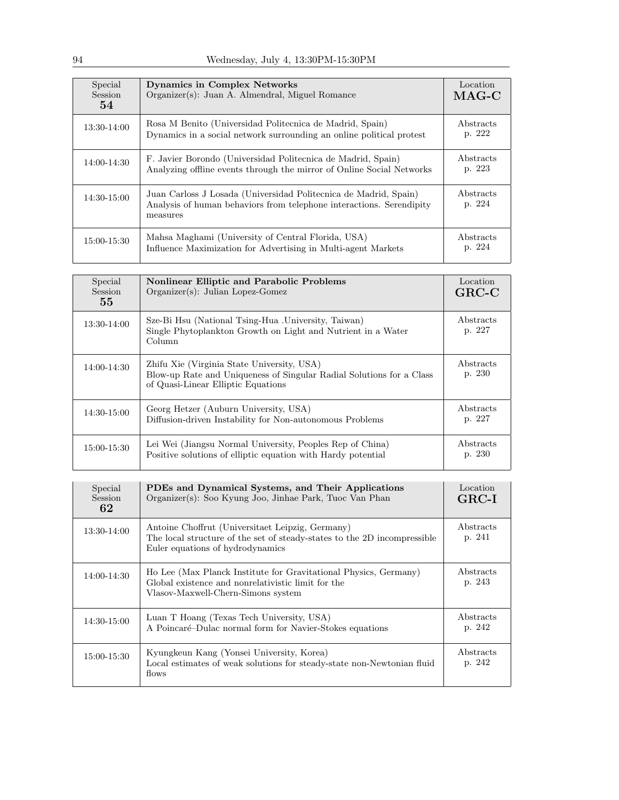| Special<br><b>Session</b><br>54 | <b>Dynamics in Complex Networks</b><br>Organizer(s): Juan A. Almendral, Miguel Romance                                                               | Location<br>$MAG-C$ |
|---------------------------------|------------------------------------------------------------------------------------------------------------------------------------------------------|---------------------|
| $13:30-14:00$                   | Rosa M Benito (Universidad Politecnica de Madrid, Spain)<br>Dynamics in a social network surrounding an online political protest                     | Abstracts<br>p. 222 |
| 14:00-14:30                     | F. Javier Borondo (Universidad Politecnica de Madrid, Spain)<br>Analyzing offline events through the mirror of Online Social Networks                | Abstracts<br>p. 223 |
| $14:30-15:00$                   | Juan Carloss J Losada (Universidad Politecnica de Madrid, Spain)<br>Analysis of human behaviors from telephone interactions. Serendipity<br>measures | Abstracts<br>p. 224 |
| 15:00-15:30                     | Mahsa Maghami (University of Central Florida, USA)<br>Influence Maximization for Advertising in Multi-agent Markets                                  | Abstracts<br>p. 224 |

| Special<br>Session<br>55 | <b>Nonlinear Elliptic and Parabolic Problems</b><br>$Organizer(s)$ : Julian Lopez-Gomez                                                                  | Location<br>$GRC-C$ |
|--------------------------|----------------------------------------------------------------------------------------------------------------------------------------------------------|---------------------|
| $13:30-14:00$            | Sze-Bi Hsu (National Tsing-Hua .University, Taiwan)<br>Single Phytoplankton Growth on Light and Nutrient in a Water<br>Column                            | Abstracts<br>p. 227 |
| $14:00 - 14:30$          | Zhifu Xie (Virginia State University, USA)<br>Blow-up Rate and Uniqueness of Singular Radial Solutions for a Class<br>of Quasi-Linear Elliptic Equations | Abstracts<br>p. 230 |
| 14:30-15:00              | Georg Hetzer (Auburn University, USA)<br>Diffusion-driven Instability for Non-autonomous Problems                                                        | Abstracts<br>p. 227 |
| 15:00-15:30              | Lei Wei (Jiangsu Normal University, Peoples Rep of China)<br>Positive solutions of elliptic equation with Hardy potential                                | Abstracts<br>p. 230 |

| Special<br>Session<br>62 | PDEs and Dynamical Systems, and Their Applications<br>Organizer(s): Soo Kyung Joo, Jinhae Park, Tuoc Van Phan                                                    | Location<br>$GRC-I$ |
|--------------------------|------------------------------------------------------------------------------------------------------------------------------------------------------------------|---------------------|
| 13:30-14:00              | Antoine Choffrut (Universitaet Leipzig, Germany)<br>The local structure of the set of steady-states to the 2D incompressible<br>Euler equations of hydrodynamics | Abstracts<br>p. 241 |
| 14:00-14:30              | Ho Lee (Max Planck Institute for Gravitational Physics, Germany)<br>Global existence and nonrelativistic limit for the<br>Vlasov-Maxwell-Chern-Simons system     | Abstracts<br>p. 243 |
| 14:30-15:00              | Luan T Hoang (Texas Tech University, USA)<br>A Poincaré-Dulac normal form for Navier-Stokes equations                                                            | Abstracts<br>p. 242 |
| 15:00-15:30              | Kyungkeun Kang (Yonsei University, Korea)<br>Local estimates of weak solutions for steady-state non-Newtonian fluid<br>flows                                     | Abstracts<br>p. 242 |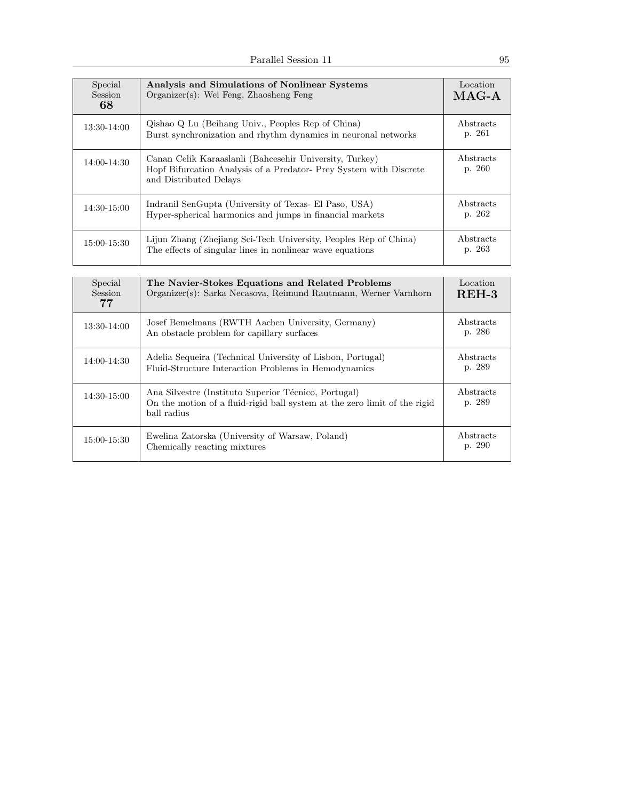| Special<br>Session<br>68 | Analysis and Simulations of Nonlinear Systems<br>$Organizer(s)$ : Wei Feng, Zhaosheng Feng                                                              | Location<br>$MAG-A$ |
|--------------------------|---------------------------------------------------------------------------------------------------------------------------------------------------------|---------------------|
| 13:30-14:00              | Qishao Q Lu (Beihang Univ., Peoples Rep of China)<br>Burst synchronization and rhythm dynamics in neuronal networks                                     | Abstracts<br>p. 261 |
| 14:00-14:30              | Canan Celik Karaaslanli (Bahcesehir University, Turkey)<br>Hopf Bifurcation Analysis of a Predator- Prey System with Discrete<br>and Distributed Delays | Abstracts<br>p. 260 |
| 14:30-15:00              | Indranil SenGupta (University of Texas- El Paso, USA)<br>Hyper-spherical harmonics and jumps in financial markets                                       | Abstracts<br>p. 262 |
| 15:00-15:30              | Lijun Zhang (Zhejiang Sci-Tech University, Peoples Rep of China)<br>The effects of singular lines in nonlinear wave equations                           | Abstracts<br>p. 263 |

| Special<br><b>Session</b><br>77 | The Navier-Stokes Equations and Related Problems<br>Organizer(s): Sarka Necasova, Reimund Rautmann, Werner Varnhorn                              | Location<br>$REH-3$ |
|---------------------------------|--------------------------------------------------------------------------------------------------------------------------------------------------|---------------------|
| 13:30-14:00                     | Josef Bemelmans (RWTH Aachen University, Germany)<br>An obstacle problem for capillary surfaces                                                  | Abstracts<br>p. 286 |
| 14:00-14:30                     | Adelia Sequeira (Technical University of Lisbon, Portugal)<br>Fluid-Structure Interaction Problems in Hemodynamics                               | Abstracts<br>p. 289 |
| 14:30-15:00                     | Ana Silvestre (Instituto Superior Técnico, Portugal)<br>On the motion of a fluid-rigid ball system at the zero limit of the rigid<br>ball radius | Abstracts<br>p. 289 |
| 15:00-15:30                     | Ewelina Zatorska (University of Warsaw, Poland)<br>Chemically reacting mixtures                                                                  | Abstracts<br>p. 290 |